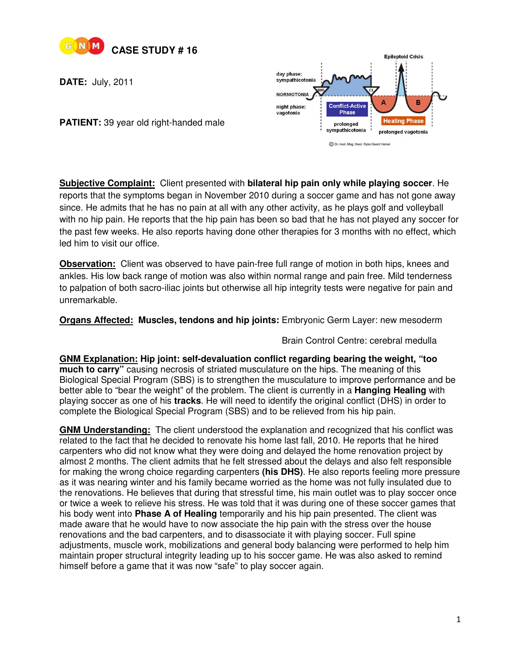

**DATE:** July, 2011

**PATIENT:** 39 year old right-handed male



**Subjective Complaint:** Client presented with **bilateral hip pain only while playing soccer**. He reports that the symptoms began in November 2010 during a soccer game and has not gone away since. He admits that he has no pain at all with any other activity, as he plays golf and volleyball with no hip pain. He reports that the hip pain has been so bad that he has not played any soccer for the past few weeks. He also reports having done other therapies for 3 months with no effect, which led him to visit our office.

**Observation:** Client was observed to have pain-free full range of motion in both hips, knees and ankles. His low back range of motion was also within normal range and pain free. Mild tenderness to palpation of both sacro-iliac joints but otherwise all hip integrity tests were negative for pain and unremarkable.

**Organs Affected: Muscles, tendons and hip joints:** Embryonic Germ Layer: new mesoderm

Brain Control Centre: cerebral medulla

**GNM Explanation: Hip joint: self-devaluation conflict regarding bearing the weight, "too much to carry"** causing necrosis of striated musculature on the hips. The meaning of this Biological Special Program (SBS) is to strengthen the musculature to improve performance and be better able to "bear the weight" of the problem. The client is currently in a **Hanging Healing** with playing soccer as one of his **tracks**. He will need to identify the original conflict (DHS) in order to complete the Biological Special Program (SBS) and to be relieved from his hip pain.

**GNM Understanding:** The client understood the explanation and recognized that his conflict was related to the fact that he decided to renovate his home last fall, 2010. He reports that he hired carpenters who did not know what they were doing and delayed the home renovation project by almost 2 months. The client admits that he felt stressed about the delays and also felt responsible for making the wrong choice regarding carpenters **(his DHS)**. He also reports feeling more pressure as it was nearing winter and his family became worried as the home was not fully insulated due to the renovations. He believes that during that stressful time, his main outlet was to play soccer once or twice a week to relieve his stress. He was told that it was during one of these soccer games that his body went into **Phase A of Healing** temporarily and his hip pain presented. The client was made aware that he would have to now associate the hip pain with the stress over the house renovations and the bad carpenters, and to disassociate it with playing soccer. Full spine adjustments, muscle work, mobilizations and general body balancing were performed to help him maintain proper structural integrity leading up to his soccer game. He was also asked to remind himself before a game that it was now "safe" to play soccer again.